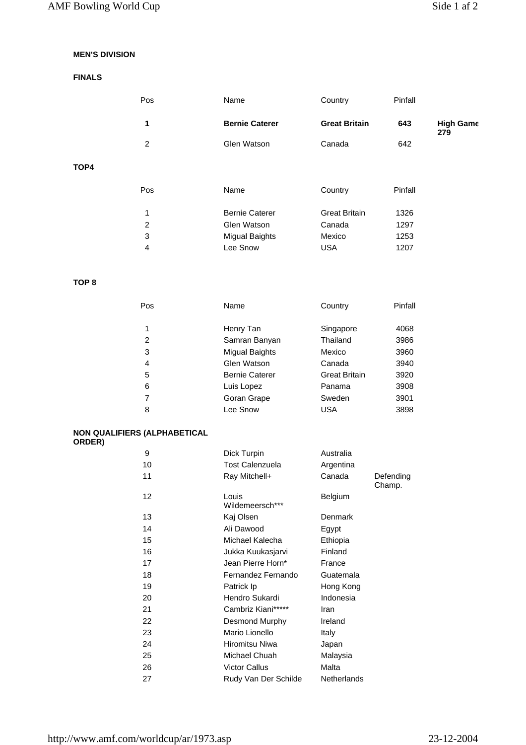# **MEN'S DIVISION**

## **FINALS**

|      | <b>Pos</b> | Name                  | Country              | Pinfall |                         |
|------|------------|-----------------------|----------------------|---------|-------------------------|
|      | 1          | <b>Bernie Caterer</b> | <b>Great Britain</b> | 643     | <b>High Game</b><br>279 |
|      | 2          | Glen Watson           | Canada               | 642     |                         |
| TOP4 |            |                       |                      |         |                         |

| Pos | Name                  | Country              | Pinfall |
|-----|-----------------------|----------------------|---------|
| 2   | <b>Bernie Caterer</b> | <b>Great Britain</b> | 1326    |
|     | Glen Watson           | Canada               | 1297    |
| 3   | Migual Baights        | Mexico               | 1253    |
|     | Lee Snow              | <b>USA</b>           | 1207    |

### **TOP 8**

| Pos | Name                  | Country              | Pinfall |
|-----|-----------------------|----------------------|---------|
| 1   | Henry Tan             | Singapore            | 4068    |
| 2   | Samran Banyan         | Thailand             | 3986    |
| 3   | Migual Baights        | Mexico               | 3960    |
| 4   | Glen Watson           | Canada               | 3940    |
| 5   | <b>Bernie Caterer</b> | <b>Great Britain</b> | 3920    |
| 6   | Luis Lopez            | Panama               | 3908    |
|     | Goran Grape           | Sweden               | 3901    |
| 8   | Lee Snow              | USA                  | 3898    |

#### **NON QUALIFIERS (ALPHABETICAL ORDER)**

| 9  | Dick Turpin              | Australia          |                     |
|----|--------------------------|--------------------|---------------------|
| 10 | <b>Tost Calenzuela</b>   | Argentina          |                     |
|    |                          |                    |                     |
| 11 | Ray Mitchell+            | Canada             | Defending<br>Champ. |
| 12 | Louis<br>Wildemeersch*** | <b>Belgium</b>     |                     |
| 13 | Kaj Olsen                | Denmark            |                     |
| 14 | Ali Dawood               | Egypt              |                     |
| 15 | Michael Kalecha          | Ethiopia           |                     |
| 16 | Jukka Kuukasjarvi        | Finland            |                     |
| 17 | Jean Pierre Horn*        | France             |                     |
| 18 | Fernandez Fernando       | Guatemala          |                     |
| 19 | Patrick Ip               | Hong Kong          |                     |
| 20 | Hendro Sukardi           | Indonesia          |                     |
| 21 | Cambriz Kiani*****       | Iran               |                     |
| 22 | Desmond Murphy           | Ireland            |                     |
| 23 | Mario Lionello           | Italy              |                     |
| 24 | Hiromitsu Niwa           | Japan              |                     |
| 25 | Michael Chuah            | Malaysia           |                     |
| 26 | <b>Victor Callus</b>     | Malta              |                     |
| 27 | Rudy Van Der Schilde     | <b>Netherlands</b> |                     |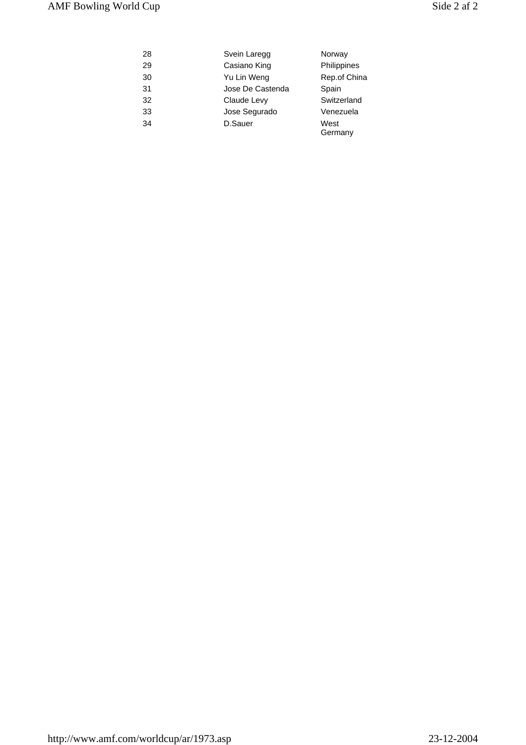| 28 | Svein Laregg     | Norway          |
|----|------------------|-----------------|
| 29 | Casiano King     | Philippines     |
| 30 | Yu Lin Weng      | Rep.of China    |
| 31 | Jose De Castenda | Spain           |
| 32 | Claude Levy      | Switzerland     |
| 33 | Jose Segurado    | Venezuela       |
| 34 | D.Sauer          | West<br>Germany |